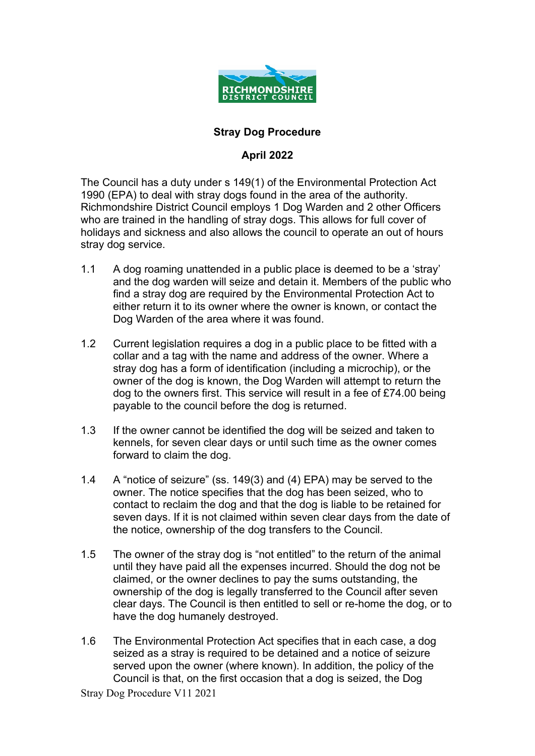

#### **Stray Dog Procedure**

#### **April 2022**

The Council has a duty under s 149(1) of the Environmental Protection Act 1990 (EPA) to deal with stray dogs found in the area of the authority. Richmondshire District Council employs 1 Dog Warden and 2 other Officers who are trained in the handling of stray dogs. This allows for full cover of holidays and sickness and also allows the council to operate an out of hours stray dog service.

- 1.1 A dog roaming unattended in a public place is deemed to be a 'stray' and the dog warden will seize and detain it. Members of the public who find a stray dog are required by the Environmental Protection Act to either return it to its owner where the owner is known, or contact the Dog Warden of the area where it was found.
- 1.2 Current legislation requires a dog in a public place to be fitted with a collar and a tag with the name and address of the owner. Where a stray dog has a form of identification (including a microchip), or the owner of the dog is known, the Dog Warden will attempt to return the dog to the owners first. This service will result in a fee of £74.00 being payable to the council before the dog is returned.
- 1.3 If the owner cannot be identified the dog will be seized and taken to kennels, for seven clear days or until such time as the owner comes forward to claim the dog.
- 1.4 A "notice of seizure" (ss. 149(3) and (4) EPA) may be served to the owner. The notice specifies that the dog has been seized, who to contact to reclaim the dog and that the dog is liable to be retained for seven days. If it is not claimed within seven clear days from the date of the notice, ownership of the dog transfers to the Council.
- 1.5 The owner of the stray dog is "not entitled" to the return of the animal until they have paid all the expenses incurred. Should the dog not be claimed, or the owner declines to pay the sums outstanding, the ownership of the dog is legally transferred to the Council after seven clear days. The Council is then entitled to sell or re-home the dog, or to have the dog humanely destroyed.
- 1.6 The Environmental Protection Act specifies that in each case, a dog seized as a stray is required to be detained and a notice of seizure served upon the owner (where known). In addition, the policy of the Council is that, on the first occasion that a dog is seized, the Dog

Stray Dog Procedure V11 2021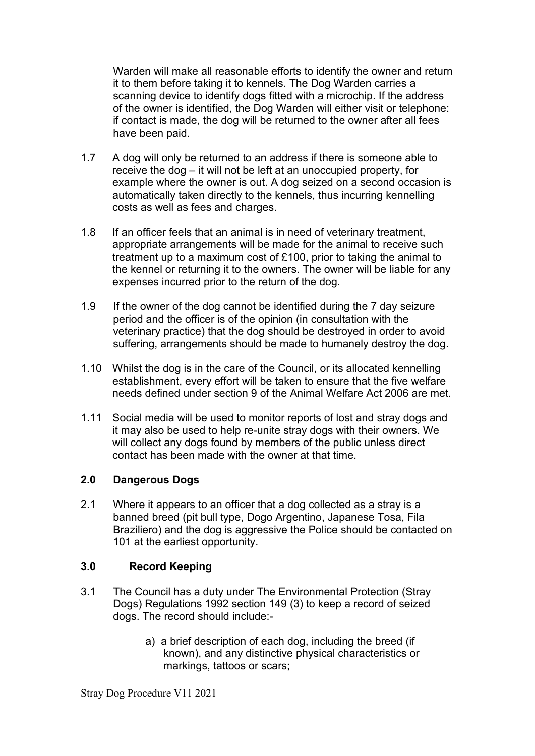Warden will make all reasonable efforts to identify the owner and return it to them before taking it to kennels. The Dog Warden carries a scanning device to identify dogs fitted with a microchip. If the address of the owner is identified, the Dog Warden will either visit or telephone: if contact is made, the dog will be returned to the owner after all fees have been paid.

- 1.7 A dog will only be returned to an address if there is someone able to receive the dog – it will not be left at an unoccupied property, for example where the owner is out. A dog seized on a second occasion is automatically taken directly to the kennels, thus incurring kennelling costs as well as fees and charges.
- 1.8 If an officer feels that an animal is in need of veterinary treatment, appropriate arrangements will be made for the animal to receive such treatment up to a maximum cost of £100, prior to taking the animal to the kennel or returning it to the owners. The owner will be liable for any expenses incurred prior to the return of the dog.
- 1.9 If the owner of the dog cannot be identified during the 7 day seizure period and the officer is of the opinion (in consultation with the veterinary practice) that the dog should be destroyed in order to avoid suffering, arrangements should be made to humanely destroy the dog.
- 1.10 Whilst the dog is in the care of the Council, or its allocated kennelling establishment, every effort will be taken to ensure that the five welfare needs defined under section 9 of the Animal Welfare Act 2006 are met.
- 1.11 Social media will be used to monitor reports of lost and stray dogs and it may also be used to help re-unite stray dogs with their owners. We will collect any dogs found by members of the public unless direct contact has been made with the owner at that time.

## **2.0 Dangerous Dogs**

2.1 Where it appears to an officer that a dog collected as a stray is a banned breed (pit bull type, Dogo Argentino, Japanese Tosa, Fila Braziliero) and the dog is aggressive the Police should be contacted on 101 at the earliest opportunity.

## **3.0 Record Keeping**

- 3.1 The Council has a duty under The Environmental Protection (Stray Dogs) Regulations 1992 section 149 (3) to keep a record of seized dogs. The record should include:
	- a) a brief description of each dog, including the breed (if known), and any distinctive physical characteristics or markings, tattoos or scars;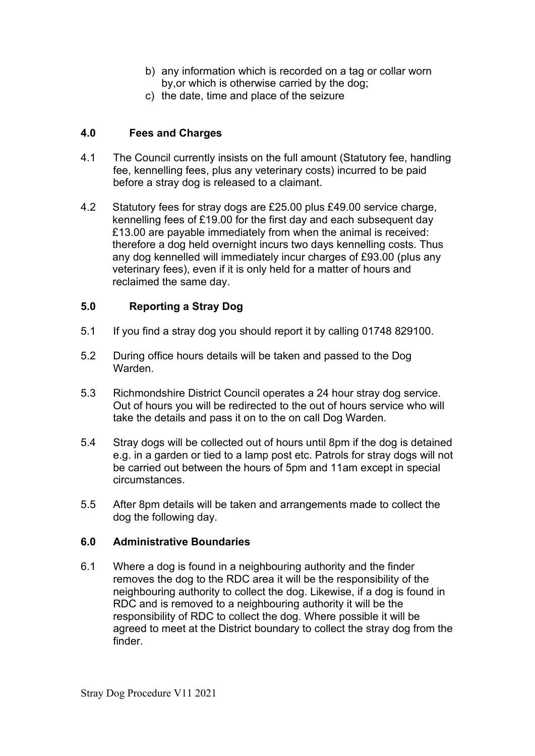- b) any information which is recorded on a tag or collar worn by,or which is otherwise carried by the dog;
- c) the date, time and place of the seizure

## **4.0 Fees and Charges**

- 4.1 The Council currently insists on the full amount (Statutory fee, handling fee, kennelling fees, plus any veterinary costs) incurred to be paid before a stray dog is released to a claimant.
- 4.2 Statutory fees for stray dogs are £25.00 plus £49.00 service charge, kennelling fees of £19.00 for the first day and each subsequent day £13.00 are payable immediately from when the animal is received: therefore a dog held overnight incurs two days kennelling costs. Thus any dog kennelled will immediately incur charges of £93.00 (plus any veterinary fees), even if it is only held for a matter of hours and reclaimed the same day.

## **5.0 Reporting a Stray Dog**

- 5.1 If you find a stray dog you should report it by calling 01748 829100.
- 5.2 During office hours details will be taken and passed to the Dog Warden
- 5.3 Richmondshire District Council operates a 24 hour stray dog service. Out of hours you will be redirected to the out of hours service who will take the details and pass it on to the on call Dog Warden.
- 5.4 Stray dogs will be collected out of hours until 8pm if the dog is detained e.g. in a garden or tied to a lamp post etc. Patrols for stray dogs will not be carried out between the hours of 5pm and 11am except in special circumstances.
- 5.5 After 8pm details will be taken and arrangements made to collect the dog the following day.

## **6.0 Administrative Boundaries**

6.1 Where a dog is found in a neighbouring authority and the finder removes the dog to the RDC area it will be the responsibility of the neighbouring authority to collect the dog. Likewise, if a dog is found in RDC and is removed to a neighbouring authority it will be the responsibility of RDC to collect the dog. Where possible it will be agreed to meet at the District boundary to collect the stray dog from the finder.